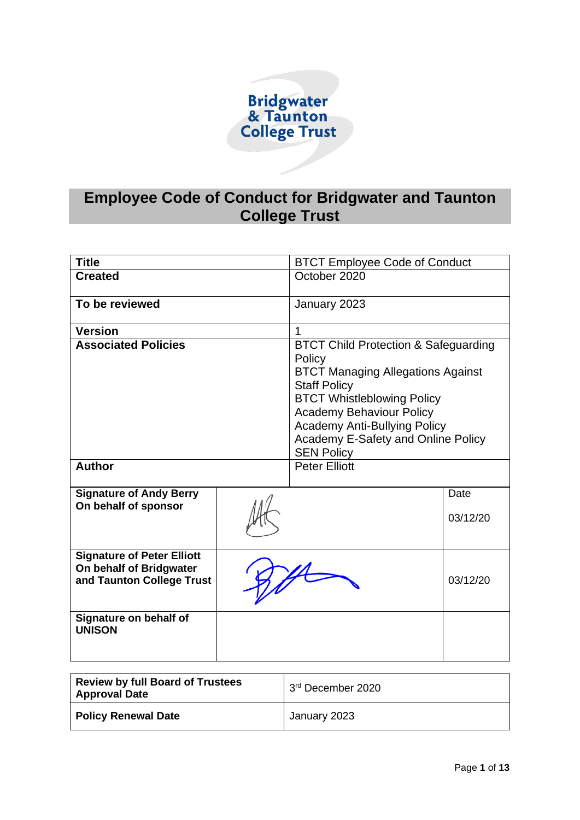

# **Employee Code of Conduct for Bridgwater and Taunton College Trust**

| <b>Title</b>                                                                              |  | <b>BTCT Employee Code of Conduct</b>                                                                                                                                                                                                                                                                   |                  |
|-------------------------------------------------------------------------------------------|--|--------------------------------------------------------------------------------------------------------------------------------------------------------------------------------------------------------------------------------------------------------------------------------------------------------|------------------|
| <b>Created</b>                                                                            |  | October 2020                                                                                                                                                                                                                                                                                           |                  |
| To be reviewed                                                                            |  | January 2023                                                                                                                                                                                                                                                                                           |                  |
| <b>Version</b>                                                                            |  | 1                                                                                                                                                                                                                                                                                                      |                  |
| <b>Associated Policies</b>                                                                |  | <b>BTCT Child Protection &amp; Safeguarding</b><br>Policy<br><b>BTCT Managing Allegations Against</b><br><b>Staff Policy</b><br><b>BTCT Whistleblowing Policy</b><br><b>Academy Behaviour Policy</b><br><b>Academy Anti-Bullying Policy</b><br>Academy E-Safety and Online Policy<br><b>SEN Policy</b> |                  |
| <b>Author</b>                                                                             |  | <b>Peter Elliott</b>                                                                                                                                                                                                                                                                                   |                  |
| <b>Signature of Andy Berry</b><br>On behalf of sponsor                                    |  |                                                                                                                                                                                                                                                                                                        | Date<br>03/12/20 |
| <b>Signature of Peter Elliott</b><br>On behalf of Bridgwater<br>and Taunton College Trust |  |                                                                                                                                                                                                                                                                                                        | 03/12/20         |
| Signature on behalf of<br><b>UNISON</b>                                                   |  |                                                                                                                                                                                                                                                                                                        |                  |

| Review by full Board of Trustees<br><b>Approval Date</b> | 3rd December 2020 |
|----------------------------------------------------------|-------------------|
| <b>Policy Renewal Date</b>                               | January 2023      |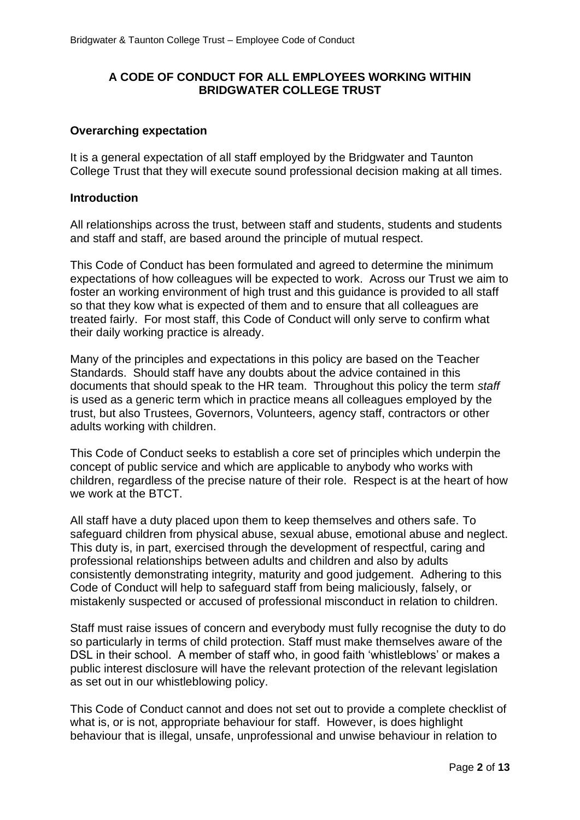## **A CODE OF CONDUCT FOR ALL EMPLOYEES WORKING WITHIN BRIDGWATER COLLEGE TRUST**

## **Overarching expectation**

It is a general expectation of all staff employed by the Bridgwater and Taunton College Trust that they will execute sound professional decision making at all times.

## **Introduction**

All relationships across the trust, between staff and students, students and students and staff and staff, are based around the principle of mutual respect.

This Code of Conduct has been formulated and agreed to determine the minimum expectations of how colleagues will be expected to work. Across our Trust we aim to foster an working environment of high trust and this guidance is provided to all staff so that they kow what is expected of them and to ensure that all colleagues are treated fairly. For most staff, this Code of Conduct will only serve to confirm what their daily working practice is already.

Many of the principles and expectations in this policy are based on the Teacher Standards. Should staff have any doubts about the advice contained in this documents that should speak to the HR team. Throughout this policy the term *staff* is used as a generic term which in practice means all colleagues employed by the trust, but also Trustees, Governors, Volunteers, agency staff, contractors or other adults working with children.

This Code of Conduct seeks to establish a core set of principles which underpin the concept of public service and which are applicable to anybody who works with children, regardless of the precise nature of their role. Respect is at the heart of how we work at the BTCT.

All staff have a duty placed upon them to keep themselves and others safe. To safeguard children from physical abuse, sexual abuse, emotional abuse and neglect. This duty is, in part, exercised through the development of respectful, caring and professional relationships between adults and children and also by adults consistently demonstrating integrity, maturity and good judgement. Adhering to this Code of Conduct will help to safeguard staff from being maliciously, falsely, or mistakenly suspected or accused of professional misconduct in relation to children.

Staff must raise issues of concern and everybody must fully recognise the duty to do so particularly in terms of child protection. Staff must make themselves aware of the DSL in their school. A member of staff who, in good faith 'whistleblows' or makes a public interest disclosure will have the relevant protection of the relevant legislation as set out in our whistleblowing policy.

This Code of Conduct cannot and does not set out to provide a complete checklist of what is, or is not, appropriate behaviour for staff. However, is does highlight behaviour that is illegal, unsafe, unprofessional and unwise behaviour in relation to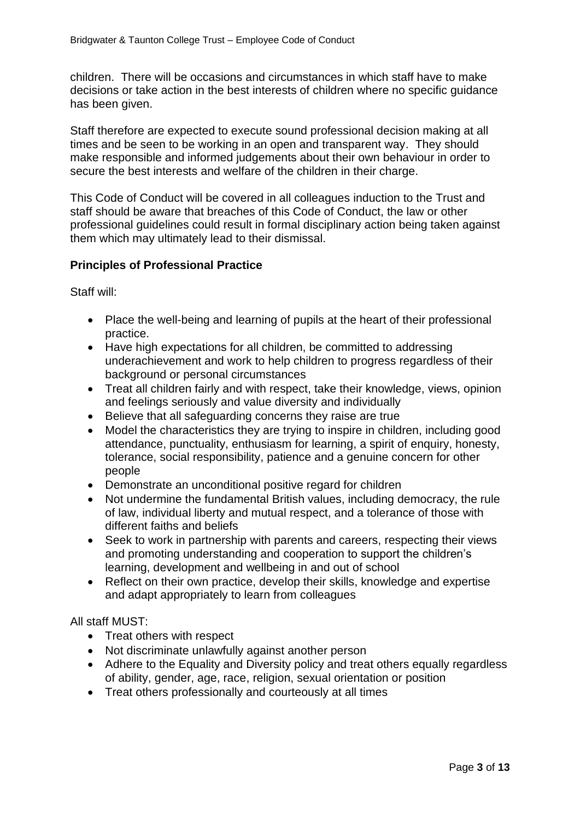children. There will be occasions and circumstances in which staff have to make decisions or take action in the best interests of children where no specific guidance has been given.

Staff therefore are expected to execute sound professional decision making at all times and be seen to be working in an open and transparent way. They should make responsible and informed judgements about their own behaviour in order to secure the best interests and welfare of the children in their charge.

This Code of Conduct will be covered in all colleagues induction to the Trust and staff should be aware that breaches of this Code of Conduct, the law or other professional guidelines could result in formal disciplinary action being taken against them which may ultimately lead to their dismissal.

## **Principles of Professional Practice**

Staff will:

- Place the well-being and learning of pupils at the heart of their professional practice.
- Have high expectations for all children, be committed to addressing underachievement and work to help children to progress regardless of their background or personal circumstances
- Treat all children fairly and with respect, take their knowledge, views, opinion and feelings seriously and value diversity and individually
- Believe that all safeguarding concerns they raise are true
- Model the characteristics they are trying to inspire in children, including good attendance, punctuality, enthusiasm for learning, a spirit of enquiry, honesty, tolerance, social responsibility, patience and a genuine concern for other people
- Demonstrate an unconditional positive regard for children
- Not undermine the fundamental British values, including democracy, the rule of law, individual liberty and mutual respect, and a tolerance of those with different faiths and beliefs
- Seek to work in partnership with parents and careers, respecting their views and promoting understanding and cooperation to support the children's learning, development and wellbeing in and out of school
- Reflect on their own practice, develop their skills, knowledge and expertise and adapt appropriately to learn from colleagues

All staff MUST:

- Treat others with respect
- Not discriminate unlawfully against another person
- Adhere to the Equality and Diversity policy and treat others equally regardless of ability, gender, age, race, religion, sexual orientation or position
- Treat others professionally and courteously at all times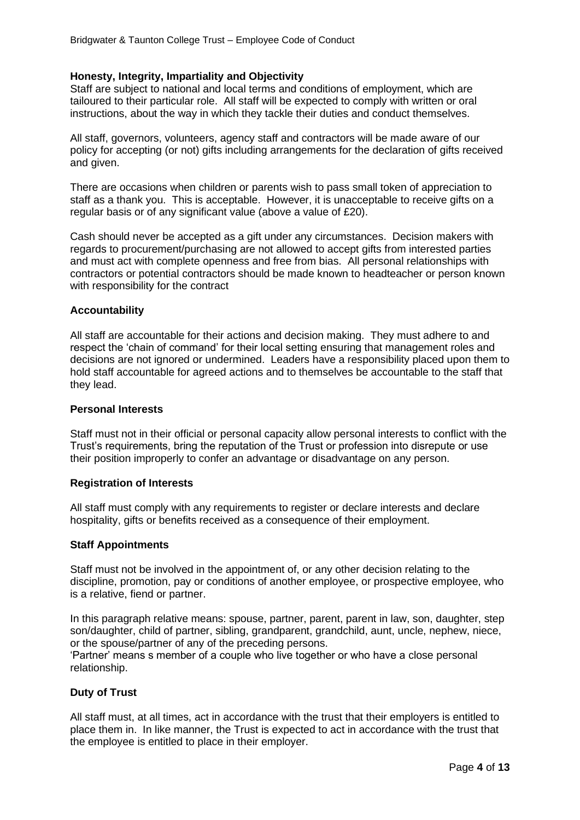#### **Honesty, Integrity, Impartiality and Objectivity**

Staff are subject to national and local terms and conditions of employment, which are tailoured to their particular role. All staff will be expected to comply with written or oral instructions, about the way in which they tackle their duties and conduct themselves.

All staff, governors, volunteers, agency staff and contractors will be made aware of our policy for accepting (or not) gifts including arrangements for the declaration of gifts received and given.

There are occasions when children or parents wish to pass small token of appreciation to staff as a thank you. This is acceptable. However, it is unacceptable to receive gifts on a regular basis or of any significant value (above a value of £20).

Cash should never be accepted as a gift under any circumstances. Decision makers with regards to procurement/purchasing are not allowed to accept gifts from interested parties and must act with complete openness and free from bias. All personal relationships with contractors or potential contractors should be made known to headteacher or person known with responsibility for the contract

#### **Accountability**

All staff are accountable for their actions and decision making. They must adhere to and respect the 'chain of command' for their local setting ensuring that management roles and decisions are not ignored or undermined. Leaders have a responsibility placed upon them to hold staff accountable for agreed actions and to themselves be accountable to the staff that they lead.

#### **Personal Interests**

Staff must not in their official or personal capacity allow personal interests to conflict with the Trust's requirements, bring the reputation of the Trust or profession into disrepute or use their position improperly to confer an advantage or disadvantage on any person.

#### **Registration of Interests**

All staff must comply with any requirements to register or declare interests and declare hospitality, gifts or benefits received as a consequence of their employment.

#### **Staff Appointments**

Staff must not be involved in the appointment of, or any other decision relating to the discipline, promotion, pay or conditions of another employee, or prospective employee, who is a relative, fiend or partner.

In this paragraph relative means: spouse, partner, parent, parent in law, son, daughter, step son/daughter, child of partner, sibling, grandparent, grandchild, aunt, uncle, nephew, niece, or the spouse/partner of any of the preceding persons.

'Partner' means s member of a couple who live together or who have a close personal relationship.

## **Duty of Trust**

All staff must, at all times, act in accordance with the trust that their employers is entitled to place them in. In like manner, the Trust is expected to act in accordance with the trust that the employee is entitled to place in their employer.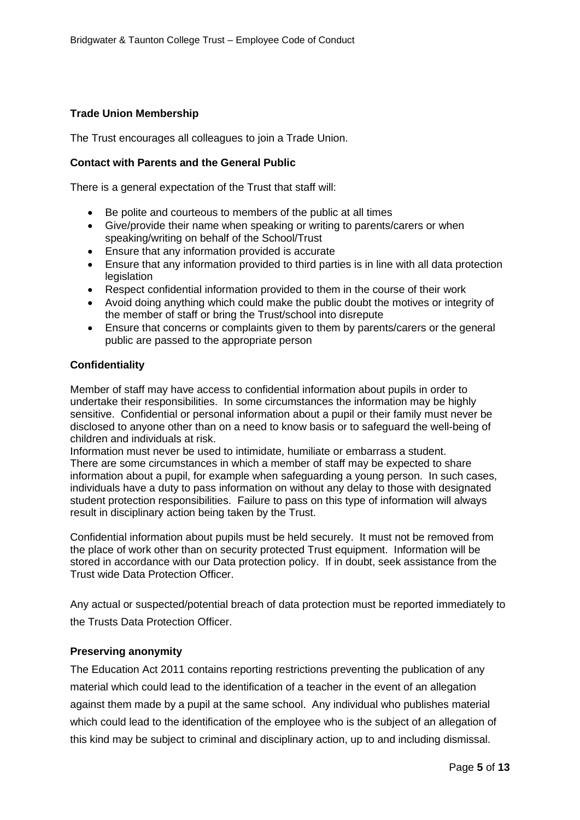## **Trade Union Membership**

The Trust encourages all colleagues to join a Trade Union.

## **Contact with Parents and the General Public**

There is a general expectation of the Trust that staff will:

- Be polite and courteous to members of the public at all times
- Give/provide their name when speaking or writing to parents/carers or when speaking/writing on behalf of the School/Trust
- Ensure that any information provided is accurate
- Ensure that any information provided to third parties is in line with all data protection legislation
- Respect confidential information provided to them in the course of their work
- Avoid doing anything which could make the public doubt the motives or integrity of the member of staff or bring the Trust/school into disrepute
- Ensure that concerns or complaints given to them by parents/carers or the general public are passed to the appropriate person

## **Confidentiality**

Member of staff may have access to confidential information about pupils in order to undertake their responsibilities. In some circumstances the information may be highly sensitive. Confidential or personal information about a pupil or their family must never be disclosed to anyone other than on a need to know basis or to safeguard the well-being of children and individuals at risk.

Information must never be used to intimidate, humiliate or embarrass a student. There are some circumstances in which a member of staff may be expected to share information about a pupil, for example when safeguarding a young person. In such cases, individuals have a duty to pass information on without any delay to those with designated student protection responsibilities. Failure to pass on this type of information will always result in disciplinary action being taken by the Trust.

Confidential information about pupils must be held securely. It must not be removed from the place of work other than on security protected Trust equipment. Information will be stored in accordance with our Data protection policy. If in doubt, seek assistance from the Trust wide Data Protection Officer.

Any actual or suspected/potential breach of data protection must be reported immediately to the Trusts Data Protection Officer.

## **Preserving anonymity**

The Education Act 2011 contains reporting restrictions preventing the publication of any material which could lead to the identification of a teacher in the event of an allegation against them made by a pupil at the same school. Any individual who publishes material which could lead to the identification of the employee who is the subject of an allegation of this kind may be subject to criminal and disciplinary action, up to and including dismissal.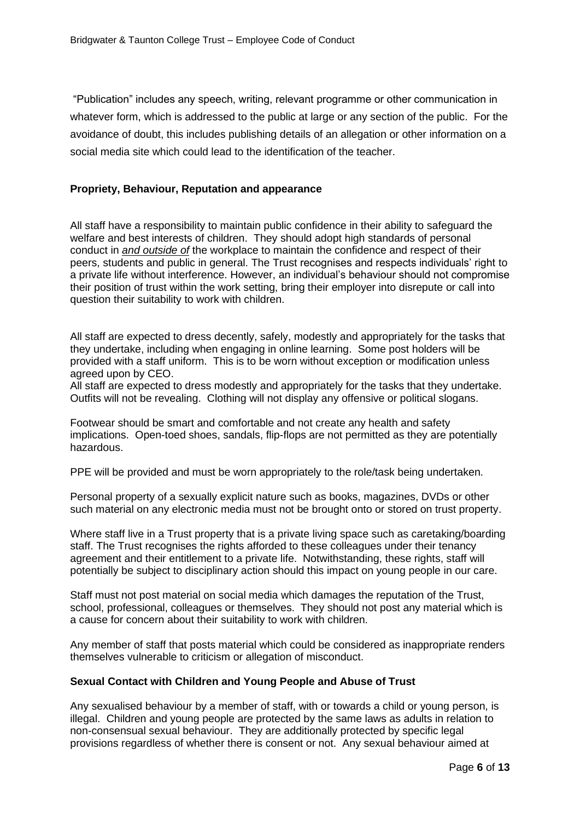"Publication" includes any speech, writing, relevant programme or other communication in whatever form, which is addressed to the public at large or any section of the public. For the avoidance of doubt, this includes publishing details of an allegation or other information on a social media site which could lead to the identification of the teacher.

#### **Propriety, Behaviour, Reputation and appearance**

All staff have a responsibility to maintain public confidence in their ability to safeguard the welfare and best interests of children. They should adopt high standards of personal conduct in *and outside of* the workplace to maintain the confidence and respect of their peers, students and public in general. The Trust recognises and respects individuals' right to a private life without interference. However, an individual's behaviour should not compromise their position of trust within the work setting, bring their employer into disrepute or call into question their suitability to work with children.

All staff are expected to dress decently, safely, modestly and appropriately for the tasks that they undertake, including when engaging in online learning. Some post holders will be provided with a staff uniform. This is to be worn without exception or modification unless agreed upon by CEO.

All staff are expected to dress modestly and appropriately for the tasks that they undertake. Outfits will not be revealing. Clothing will not display any offensive or political slogans.

Footwear should be smart and comfortable and not create any health and safety implications. Open-toed shoes, sandals, flip-flops are not permitted as they are potentially hazardous.

PPE will be provided and must be worn appropriately to the role/task being undertaken.

Personal property of a sexually explicit nature such as books, magazines, DVDs or other such material on any electronic media must not be brought onto or stored on trust property.

Where staff live in a Trust property that is a private living space such as caretaking/boarding staff. The Trust recognises the rights afforded to these colleagues under their tenancy agreement and their entitlement to a private life. Notwithstanding, these rights, staff will potentially be subject to disciplinary action should this impact on young people in our care.

Staff must not post material on social media which damages the reputation of the Trust, school, professional, colleagues or themselves. They should not post any material which is a cause for concern about their suitability to work with children.

Any member of staff that posts material which could be considered as inappropriate renders themselves vulnerable to criticism or allegation of misconduct.

#### **Sexual Contact with Children and Young People and Abuse of Trust**

Any sexualised behaviour by a member of staff, with or towards a child or young person, is illegal. Children and young people are protected by the same laws as adults in relation to non-consensual sexual behaviour. They are additionally protected by specific legal provisions regardless of whether there is consent or not. Any sexual behaviour aimed at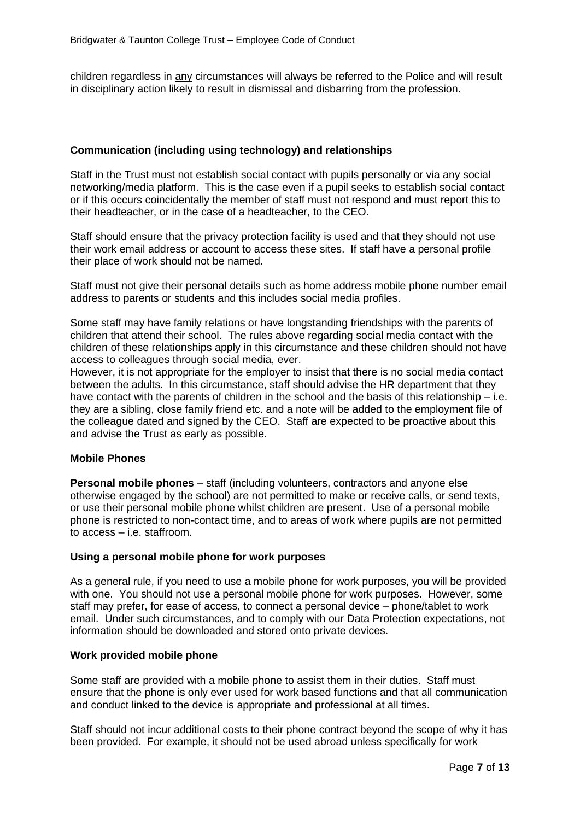children regardless in any circumstances will always be referred to the Police and will result in disciplinary action likely to result in dismissal and disbarring from the profession.

## **Communication (including using technology) and relationships**

Staff in the Trust must not establish social contact with pupils personally or via any social networking/media platform. This is the case even if a pupil seeks to establish social contact or if this occurs coincidentally the member of staff must not respond and must report this to their headteacher, or in the case of a headteacher, to the CEO.

Staff should ensure that the privacy protection facility is used and that they should not use their work email address or account to access these sites. If staff have a personal profile their place of work should not be named.

Staff must not give their personal details such as home address mobile phone number email address to parents or students and this includes social media profiles.

Some staff may have family relations or have longstanding friendships with the parents of children that attend their school. The rules above regarding social media contact with the children of these relationships apply in this circumstance and these children should not have access to colleagues through social media, ever.

However, it is not appropriate for the employer to insist that there is no social media contact between the adults. In this circumstance, staff should advise the HR department that they have contact with the parents of children in the school and the basis of this relationship – i.e. they are a sibling, close family friend etc. and a note will be added to the employment file of the colleague dated and signed by the CEO. Staff are expected to be proactive about this and advise the Trust as early as possible.

#### **Mobile Phones**

**Personal mobile phones** – staff (including volunteers, contractors and anyone else otherwise engaged by the school) are not permitted to make or receive calls, or send texts, or use their personal mobile phone whilst children are present. Use of a personal mobile phone is restricted to non-contact time, and to areas of work where pupils are not permitted to access – i.e. staffroom.

#### **Using a personal mobile phone for work purposes**

As a general rule, if you need to use a mobile phone for work purposes, you will be provided with one. You should not use a personal mobile phone for work purposes. However, some staff may prefer, for ease of access, to connect a personal device – phone/tablet to work email. Under such circumstances, and to comply with our Data Protection expectations, not information should be downloaded and stored onto private devices.

#### **Work provided mobile phone**

Some staff are provided with a mobile phone to assist them in their duties. Staff must ensure that the phone is only ever used for work based functions and that all communication and conduct linked to the device is appropriate and professional at all times.

Staff should not incur additional costs to their phone contract beyond the scope of why it has been provided. For example, it should not be used abroad unless specifically for work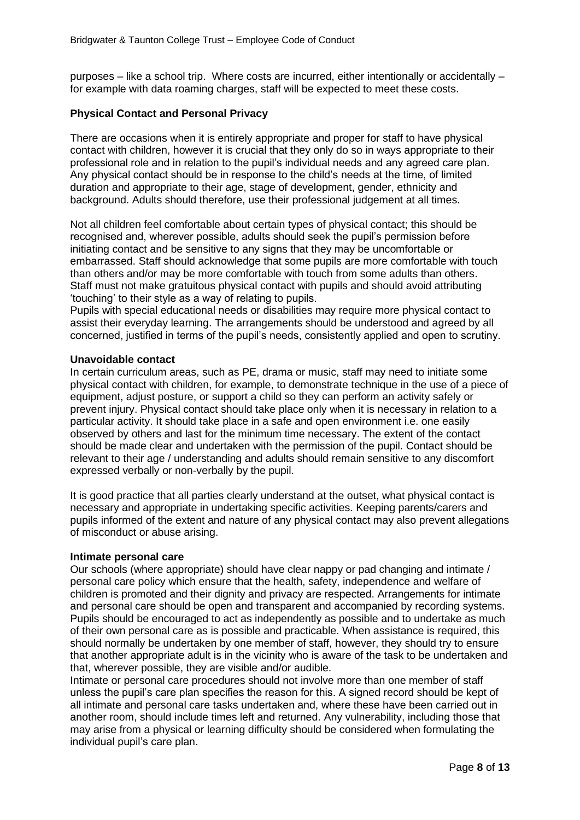purposes – like a school trip. Where costs are incurred, either intentionally or accidentally – for example with data roaming charges, staff will be expected to meet these costs.

## **Physical Contact and Personal Privacy**

There are occasions when it is entirely appropriate and proper for staff to have physical contact with children, however it is crucial that they only do so in ways appropriate to their professional role and in relation to the pupil's individual needs and any agreed care plan. Any physical contact should be in response to the child's needs at the time, of limited duration and appropriate to their age, stage of development, gender, ethnicity and background. Adults should therefore, use their professional judgement at all times.

Not all children feel comfortable about certain types of physical contact; this should be recognised and, wherever possible, adults should seek the pupil's permission before initiating contact and be sensitive to any signs that they may be uncomfortable or embarrassed. Staff should acknowledge that some pupils are more comfortable with touch than others and/or may be more comfortable with touch from some adults than others. Staff must not make gratuitous physical contact with pupils and should avoid attributing 'touching' to their style as a way of relating to pupils.

Pupils with special educational needs or disabilities may require more physical contact to assist their everyday learning. The arrangements should be understood and agreed by all concerned, justified in terms of the pupil's needs, consistently applied and open to scrutiny.

#### **Unavoidable contact**

In certain curriculum areas, such as PE, drama or music, staff may need to initiate some physical contact with children, for example, to demonstrate technique in the use of a piece of equipment, adjust posture, or support a child so they can perform an activity safely or prevent injury. Physical contact should take place only when it is necessary in relation to a particular activity. It should take place in a safe and open environment i.e. one easily observed by others and last for the minimum time necessary. The extent of the contact should be made clear and undertaken with the permission of the pupil. Contact should be relevant to their age / understanding and adults should remain sensitive to any discomfort expressed verbally or non-verbally by the pupil.

It is good practice that all parties clearly understand at the outset, what physical contact is necessary and appropriate in undertaking specific activities. Keeping parents/carers and pupils informed of the extent and nature of any physical contact may also prevent allegations of misconduct or abuse arising.

#### **Intimate personal care**

Our schools (where appropriate) should have clear nappy or pad changing and intimate / personal care policy which ensure that the health, safety, independence and welfare of children is promoted and their dignity and privacy are respected. Arrangements for intimate and personal care should be open and transparent and accompanied by recording systems. Pupils should be encouraged to act as independently as possible and to undertake as much of their own personal care as is possible and practicable. When assistance is required, this should normally be undertaken by one member of staff, however, they should try to ensure that another appropriate adult is in the vicinity who is aware of the task to be undertaken and that, wherever possible, they are visible and/or audible.

Intimate or personal care procedures should not involve more than one member of staff unless the pupil's care plan specifies the reason for this. A signed record should be kept of all intimate and personal care tasks undertaken and, where these have been carried out in another room, should include times left and returned. Any vulnerability, including those that may arise from a physical or learning difficulty should be considered when formulating the individual pupil's care plan.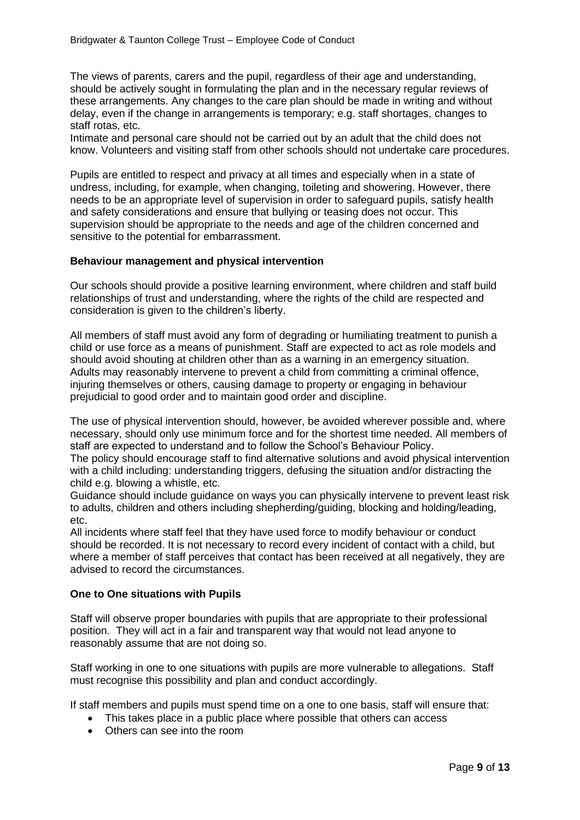The views of parents, carers and the pupil, regardless of their age and understanding, should be actively sought in formulating the plan and in the necessary regular reviews of these arrangements. Any changes to the care plan should be made in writing and without delay, even if the change in arrangements is temporary; e.g. staff shortages, changes to staff rotas, etc.

Intimate and personal care should not be carried out by an adult that the child does not know. Volunteers and visiting staff from other schools should not undertake care procedures.

Pupils are entitled to respect and privacy at all times and especially when in a state of undress, including, for example, when changing, toileting and showering. However, there needs to be an appropriate level of supervision in order to safeguard pupils, satisfy health and safety considerations and ensure that bullying or teasing does not occur. This supervision should be appropriate to the needs and age of the children concerned and sensitive to the potential for embarrassment.

#### **Behaviour management and physical intervention**

Our schools should provide a positive learning environment, where children and staff build relationships of trust and understanding, where the rights of the child are respected and consideration is given to the children's liberty.

All members of staff must avoid any form of degrading or humiliating treatment to punish a child or use force as a means of punishment. Staff are expected to act as role models and should avoid shouting at children other than as a warning in an emergency situation. Adults may reasonably intervene to prevent a child from committing a criminal offence, injuring themselves or others, causing damage to property or engaging in behaviour prejudicial to good order and to maintain good order and discipline.

The use of physical intervention should, however, be avoided wherever possible and, where necessary, should only use minimum force and for the shortest time needed. All members of staff are expected to understand and to follow the School's Behaviour Policy.

The policy should encourage staff to find alternative solutions and avoid physical intervention with a child including: understanding triggers, defusing the situation and/or distracting the child e.g. blowing a whistle, etc.

Guidance should include guidance on ways you can physically intervene to prevent least risk to adults, children and others including shepherding/guiding, blocking and holding/leading, etc.

All incidents where staff feel that they have used force to modify behaviour or conduct should be recorded. It is not necessary to record every incident of contact with a child, but where a member of staff perceives that contact has been received at all negatively, they are advised to record the circumstances.

#### **One to One situations with Pupils**

Staff will observe proper boundaries with pupils that are appropriate to their professional position. They will act in a fair and transparent way that would not lead anyone to reasonably assume that are not doing so.

Staff working in one to one situations with pupils are more vulnerable to allegations. Staff must recognise this possibility and plan and conduct accordingly.

If staff members and pupils must spend time on a one to one basis, staff will ensure that:

- This takes place in a public place where possible that others can access
- Others can see into the room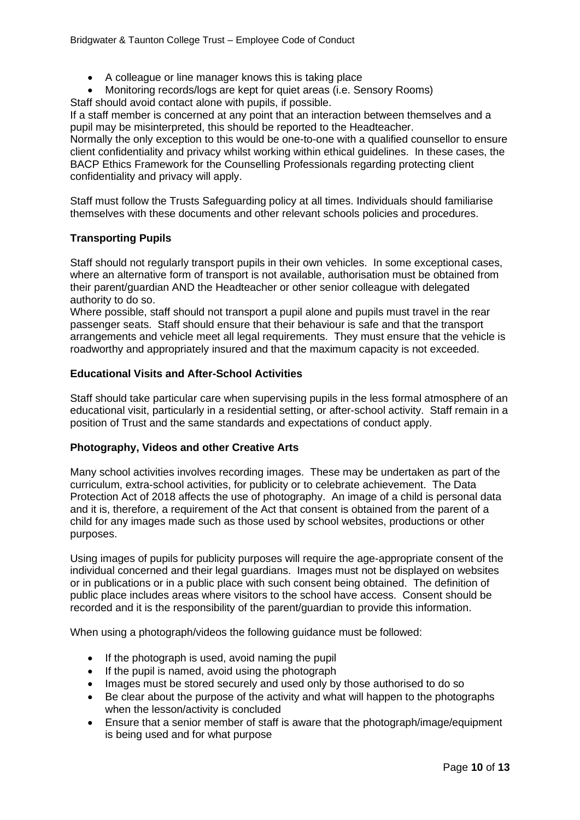- A colleague or line manager knows this is taking place
- Monitoring records/logs are kept for quiet areas (i.e. Sensory Rooms) Staff should avoid contact alone with pupils, if possible.

If a staff member is concerned at any point that an interaction between themselves and a pupil may be misinterpreted, this should be reported to the Headteacher.

Normally the only exception to this would be one-to-one with a qualified counsellor to ensure client confidentiality and privacy whilst working within ethical guidelines. In these cases, the BACP Ethics Framework for the Counselling Professionals regarding protecting client confidentiality and privacy will apply.

Staff must follow the Trusts Safeguarding policy at all times. Individuals should familiarise themselves with these documents and other relevant schools policies and procedures.

## **Transporting Pupils**

Staff should not regularly transport pupils in their own vehicles. In some exceptional cases, where an alternative form of transport is not available, authorisation must be obtained from their parent/guardian AND the Headteacher or other senior colleague with delegated authority to do so.

Where possible, staff should not transport a pupil alone and pupils must travel in the rear passenger seats. Staff should ensure that their behaviour is safe and that the transport arrangements and vehicle meet all legal requirements. They must ensure that the vehicle is roadworthy and appropriately insured and that the maximum capacity is not exceeded.

## **Educational Visits and After-School Activities**

Staff should take particular care when supervising pupils in the less formal atmosphere of an educational visit, particularly in a residential setting, or after-school activity. Staff remain in a position of Trust and the same standards and expectations of conduct apply.

## **Photography, Videos and other Creative Arts**

Many school activities involves recording images. These may be undertaken as part of the curriculum, extra-school activities, for publicity or to celebrate achievement. The Data Protection Act of 2018 affects the use of photography. An image of a child is personal data and it is, therefore, a requirement of the Act that consent is obtained from the parent of a child for any images made such as those used by school websites, productions or other purposes.

Using images of pupils for publicity purposes will require the age-appropriate consent of the individual concerned and their legal guardians. Images must not be displayed on websites or in publications or in a public place with such consent being obtained. The definition of public place includes areas where visitors to the school have access. Consent should be recorded and it is the responsibility of the parent/guardian to provide this information.

When using a photograph/videos the following guidance must be followed:

- If the photograph is used, avoid naming the pupil
- If the pupil is named, avoid using the photograph
- Images must be stored securely and used only by those authorised to do so
- Be clear about the purpose of the activity and what will happen to the photographs when the lesson/activity is concluded
- Ensure that a senior member of staff is aware that the photograph/image/equipment is being used and for what purpose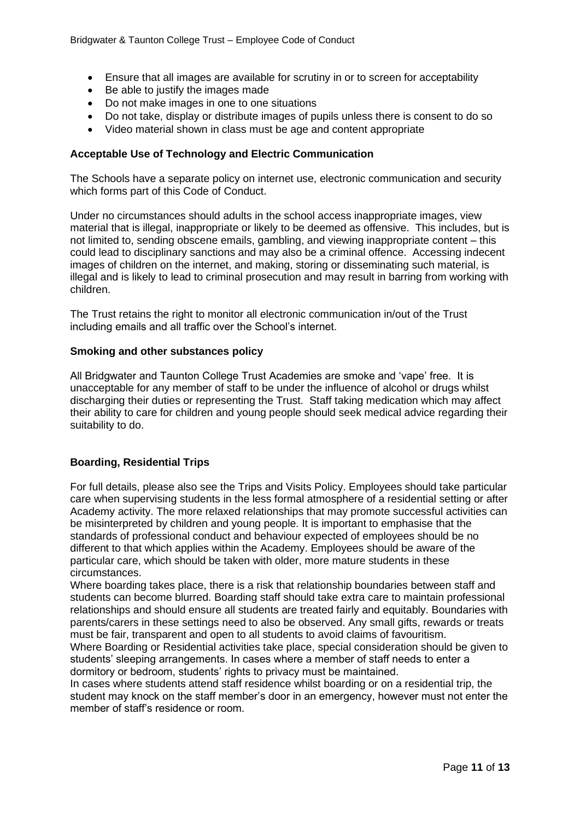- Ensure that all images are available for scrutiny in or to screen for acceptability
- Be able to justify the images made
- Do not make images in one to one situations
- Do not take, display or distribute images of pupils unless there is consent to do so
- Video material shown in class must be age and content appropriate

#### **Acceptable Use of Technology and Electric Communication**

The Schools have a separate policy on internet use, electronic communication and security which forms part of this Code of Conduct.

Under no circumstances should adults in the school access inappropriate images, view material that is illegal, inappropriate or likely to be deemed as offensive. This includes, but is not limited to, sending obscene emails, gambling, and viewing inappropriate content – this could lead to disciplinary sanctions and may also be a criminal offence. Accessing indecent images of children on the internet, and making, storing or disseminating such material, is illegal and is likely to lead to criminal prosecution and may result in barring from working with children.

The Trust retains the right to monitor all electronic communication in/out of the Trust including emails and all traffic over the School's internet.

#### **Smoking and other substances policy**

All Bridgwater and Taunton College Trust Academies are smoke and 'vape' free. It is unacceptable for any member of staff to be under the influence of alcohol or drugs whilst discharging their duties or representing the Trust. Staff taking medication which may affect their ability to care for children and young people should seek medical advice regarding their suitability to do.

#### **Boarding, Residential Trips**

For full details, please also see the Trips and Visits Policy. Employees should take particular care when supervising students in the less formal atmosphere of a residential setting or after Academy activity. The more relaxed relationships that may promote successful activities can be misinterpreted by children and young people. It is important to emphasise that the standards of professional conduct and behaviour expected of employees should be no different to that which applies within the Academy. Employees should be aware of the particular care, which should be taken with older, more mature students in these circumstances.

Where boarding takes place, there is a risk that relationship boundaries between staff and students can become blurred. Boarding staff should take extra care to maintain professional relationships and should ensure all students are treated fairly and equitably. Boundaries with parents/carers in these settings need to also be observed. Any small gifts, rewards or treats must be fair, transparent and open to all students to avoid claims of favouritism.

Where Boarding or Residential activities take place, special consideration should be given to students' sleeping arrangements. In cases where a member of staff needs to enter a dormitory or bedroom, students' rights to privacy must be maintained.

In cases where students attend staff residence whilst boarding or on a residential trip, the student may knock on the staff member's door in an emergency, however must not enter the member of staff's residence or room.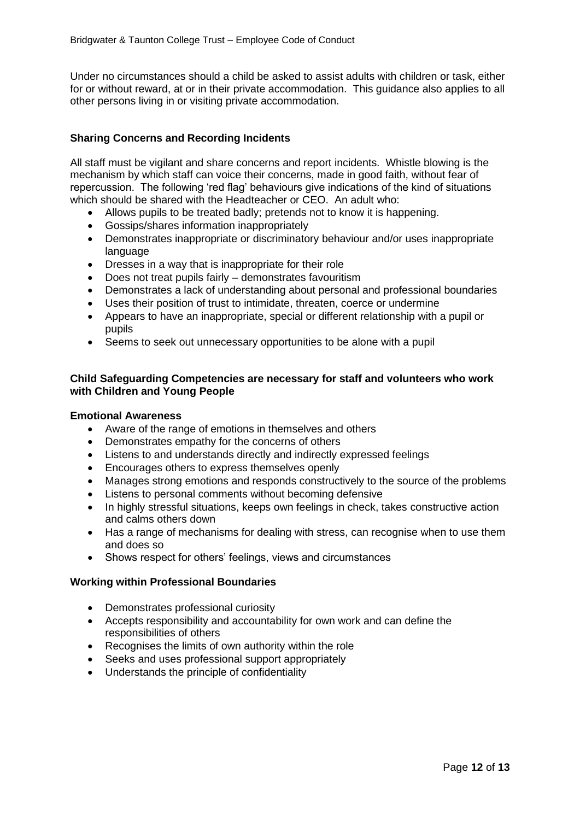Under no circumstances should a child be asked to assist adults with children or task, either for or without reward, at or in their private accommodation. This guidance also applies to all other persons living in or visiting private accommodation.

## **Sharing Concerns and Recording Incidents**

All staff must be vigilant and share concerns and report incidents. Whistle blowing is the mechanism by which staff can voice their concerns, made in good faith, without fear of repercussion. The following 'red flag' behaviours give indications of the kind of situations which should be shared with the Headteacher or CEO. An adult who:

- Allows pupils to be treated badly; pretends not to know it is happening.
- Gossips/shares information inappropriately
- Demonstrates inappropriate or discriminatory behaviour and/or uses inappropriate language
- Dresses in a way that is inappropriate for their role
- Does not treat pupils fairly demonstrates favouritism
- Demonstrates a lack of understanding about personal and professional boundaries
- Uses their position of trust to intimidate, threaten, coerce or undermine
- Appears to have an inappropriate, special or different relationship with a pupil or pupils
- Seems to seek out unnecessary opportunities to be alone with a pupil

## **Child Safeguarding Competencies are necessary for staff and volunteers who work with Children and Young People**

#### **Emotional Awareness**

- Aware of the range of emotions in themselves and others
- Demonstrates empathy for the concerns of others
- Listens to and understands directly and indirectly expressed feelings
- Encourages others to express themselves openly
- Manages strong emotions and responds constructively to the source of the problems
- Listens to personal comments without becoming defensive
- In highly stressful situations, keeps own feelings in check, takes constructive action and calms others down
- Has a range of mechanisms for dealing with stress, can recognise when to use them and does so
- Shows respect for others' feelings, views and circumstances

#### **Working within Professional Boundaries**

- Demonstrates professional curiosity
- Accepts responsibility and accountability for own work and can define the responsibilities of others
- Recognises the limits of own authority within the role
- Seeks and uses professional support appropriately
- Understands the principle of confidentiality